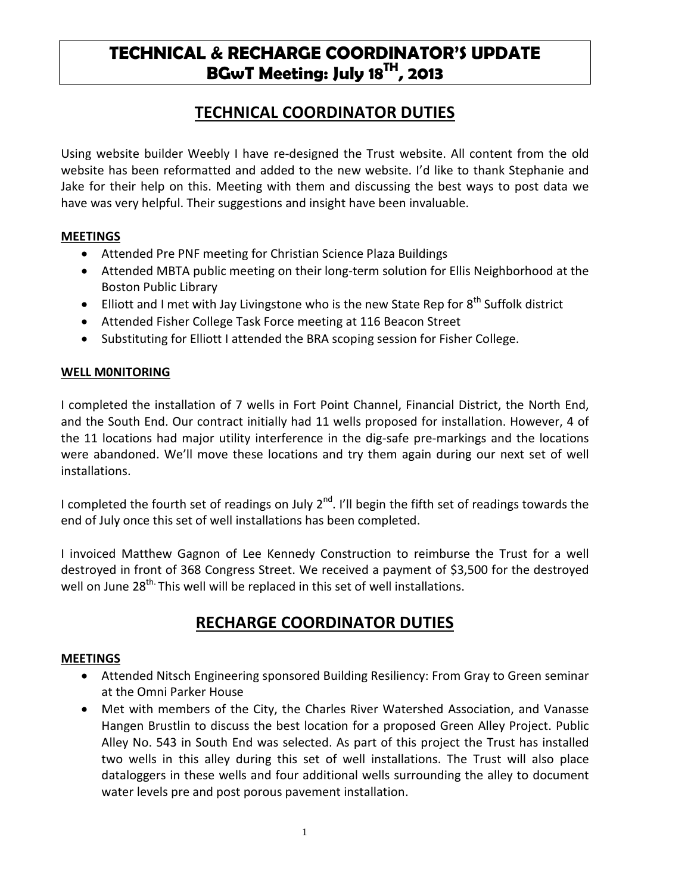# **TECHNICAL & RECHARGE COORDINATOR'S UPDATE BGwT Meeting: July 18TH, 2013**

### **TECHNICAL COORDINATOR DUTIES**

Using website builder Weebly I have re-designed the Trust website. All content from the old website has been reformatted and added to the new website. I'd like to thank Stephanie and Jake for their help on this. Meeting with them and discussing the best ways to post data we have was very helpful. Their suggestions and insight have been invaluable.

### **MEETINGS**

- Attended Pre PNF meeting for Christian Science Plaza Buildings
- Attended MBTA public meeting on their long-term solution for Ellis Neighborhood at the Boston Public Library
- Elliott and I met with Jay Livingstone who is the new State Rep for 8<sup>th</sup> Suffolk district
- Attended Fisher College Task Force meeting at 116 Beacon Street
- Substituting for Elliott I attended the BRA scoping session for Fisher College.

### **WELL M0NITORING**

I completed the installation of 7 wells in Fort Point Channel, Financial District, the North End, and the South End. Our contract initially had 11 wells proposed for installation. However, 4 of the 11 locations had major utility interference in the dig-safe pre-markings and the locations were abandoned. We'll move these locations and try them again during our next set of well installations.

I completed the fourth set of readings on July  $2^{nd}$ . I'll begin the fifth set of readings towards the end of July once this set of well installations has been completed.

I invoiced Matthew Gagnon of Lee Kennedy Construction to reimburse the Trust for a well destroyed in front of 368 Congress Street. We received a payment of \$3,500 for the destroyed well on June 28<sup>th.</sup> This well will be replaced in this set of well installations.

## **RECHARGE COORDINATOR DUTIES**

#### **MEETINGS**

- Attended Nitsch Engineering sponsored Building Resiliency: From Gray to Green seminar at the Omni Parker House
- Met with members of the City, the Charles River Watershed Association, and Vanasse Hangen Brustlin to discuss the best location for a proposed Green Alley Project. Public Alley No. 543 in South End was selected. As part of this project the Trust has installed two wells in this alley during this set of well installations. The Trust will also place dataloggers in these wells and four additional wells surrounding the alley to document water levels pre and post porous pavement installation.